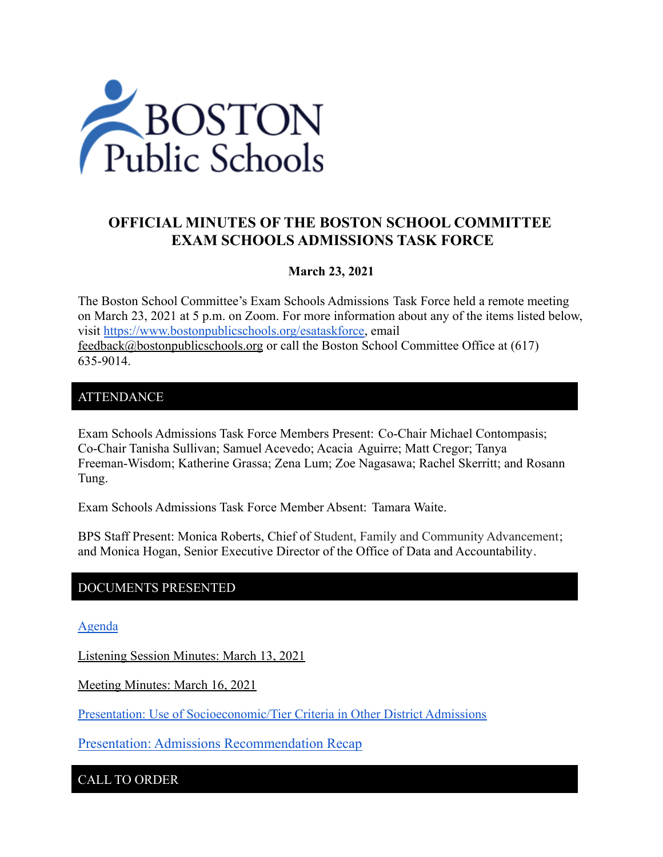

# **OFFICIAL MINUTES OF THE BOSTON SCHOOL COMMITTEE EXAM SCHOOLS ADMISSIONS TASK FORCE**

### **March 23, 2021**

The Boston School Committee's Exam Schools Admissions Task Force held a remote meeting on March 23, 2021 at 5 p.m. on Zoom. For more information about any of the items listed below, visit [https://www.bostonpublicschools.org/esataskforce,](https://www.bostonpublicschools.org/esataskforce) email [feedback@bostonpublicschools.org](mailto:feedback@bostonpublicschools.org) or call the Boston School Committee Office at (617) 635-9014.

### ATTENDANCE

Exam Schools Admissions Task Force Members Present: Co-Chair Michael Contompasis; Co-Chair Tanisha Sullivan; Samuel Acevedo; Acacia Aguirre; Matt Cregor; Tanya Freeman-Wisdom; Katherine Grassa; Zena Lum; Zoe Nagasawa; Rachel Skerritt; and Rosann Tung.

Exam Schools Admissions Task Force Member Absent: Tamara Waite.

BPS Staff Present: Monica Roberts, Chief of Student, Family and Community Advancement; and Monica Hogan, Senior Executive Director of the Office of Data and Accountability.

#### DOCUMENTS PRESENTED

[Agenda](https://www.boston.gov/public-notices/14771201)

Listening Session Minutes: March 13, 2021

Meeting Minutes: March 16, 2021

[Presentation: Use of Socioeconomic/Tier Criteria in](https://www.bostonpublicschools.org/cms/lib/MA01906464/Centricity/Domain/2931/Exam%20School%20Task%20Force%20Presentation%203%2023%202021.pdf) Other District Admissions

Presentation: Admissions [Recommendation](https://www.bostonpublicschools.org/cms/lib/MA01906464/Centricity/Domain/2931/Exam%20School%20Task%20Force%20%203%2023%2021%20WG%20Recommendation%20to%20SC%20on%2010%2021%2020.pdf) Recap

CALL TO ORDER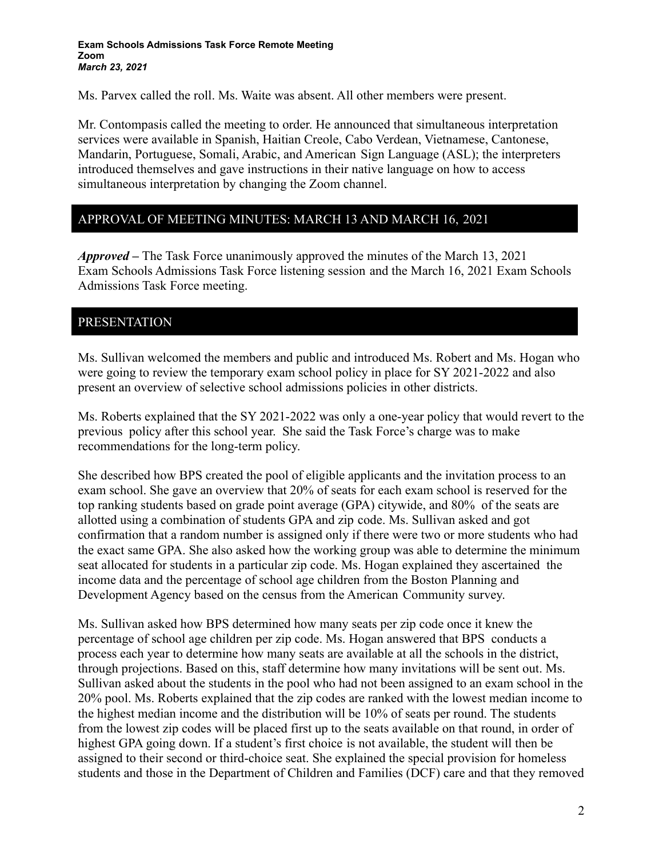Ms. Parvex called the roll. Ms. Waite was absent. All other members were present.

Mr. Contompasis called the meeting to order. He announced that simultaneous interpretation services were available in Spanish, Haitian Creole, Cabo Verdean, Vietnamese, Cantonese, Mandarin, Portuguese, Somali, Arabic, and American Sign Language (ASL); the interpreters introduced themselves and gave instructions in their native language on how to access simultaneous interpretation by changing the Zoom channel.

## APPROVAL OF MEETING MINUTES: MARCH 13 AND MARCH 16, 2021

*Approved –* The Task Force unanimously approved the minutes of the March 13, 2021 Exam Schools Admissions Task Force listening session and the March 16, 2021 Exam Schools Admissions Task Force meeting.

## PRESENTATION

Ms. Sullivan welcomed the members and public and introduced Ms. Robert and Ms. Hogan who were going to review the temporary exam school policy in place for SY 2021-2022 and also present an overview of selective school admissions policies in other districts.

Ms. Roberts explained that the SY 2021-2022 was only a one-year policy that would revert to the previous policy after this school year. She said the Task Force's charge was to make recommendations for the long-term policy.

She described how BPS created the pool of eligible applicants and the invitation process to an exam school. She gave an overview that 20% of seats for each exam school is reserved for the top ranking students based on grade point average (GPA) citywide, and 80% of the seats are allotted using a combination of students GPA and zip code. Ms. Sullivan asked and got confirmation that a random number is assigned only if there were two or more students who had the exact same GPA. She also asked how the working group was able to determine the minimum seat allocated for students in a particular zip code. Ms. Hogan explained they ascertained the income data and the percentage of school age children from the Boston Planning and Development Agency based on the census from the American Community survey.

Ms. Sullivan asked how BPS determined how many seats per zip code once it knew the percentage of school age children per zip code. Ms. Hogan answered that BPS conducts a process each year to determine how many seats are available at all the schools in the district, through projections. Based on this, staff determine how many invitations will be sent out. Ms. Sullivan asked about the students in the pool who had not been assigned to an exam school in the 20% pool. Ms. Roberts explained that the zip codes are ranked with the lowest median income to the highest median income and the distribution will be 10% of seats per round. The students from the lowest zip codes will be placed first up to the seats available on that round, in order of highest GPA going down. If a student's first choice is not available, the student will then be assigned to their second or third-choice seat. She explained the special provision for homeless students and those in the Department of Children and Families (DCF) care and that they removed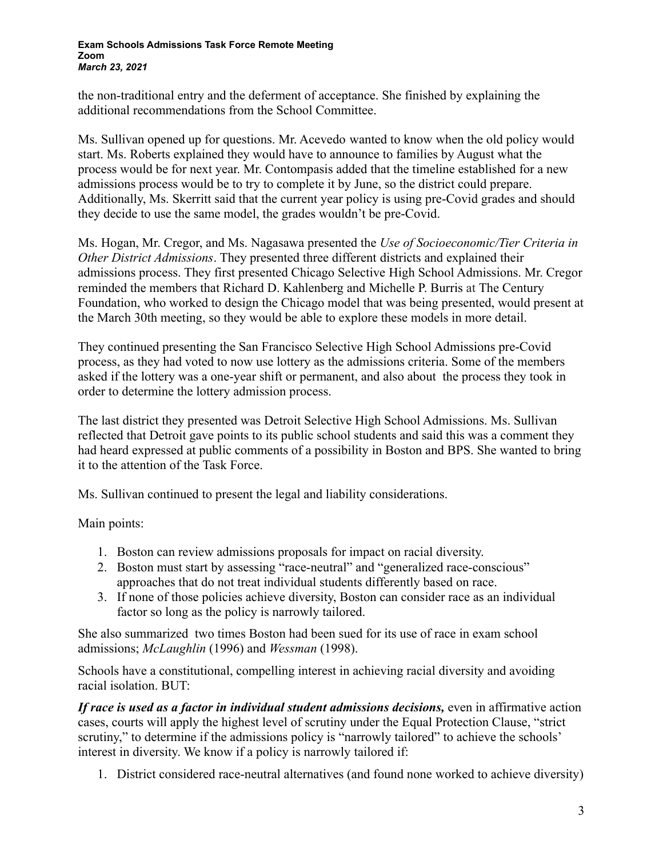the non-traditional entry and the deferment of acceptance. She finished by explaining the additional recommendations from the School Committee.

Ms. Sullivan opened up for questions. Mr. Acevedo wanted to know when the old policy would start. Ms. Roberts explained they would have to announce to families by August what the process would be for next year. Mr. Contompasis added that the timeline established for a new admissions process would be to try to complete it by June, so the district could prepare. Additionally, Ms. Skerritt said that the current year policy is using pre-Covid grades and should they decide to use the same model, the grades wouldn't be pre-Covid.

Ms. Hogan, Mr. Cregor, and Ms. Nagasawa presented the *Use of Socioeconomic/Tier Criteria in Other District Admissions*. They presented three different districts and explained their admissions process. They first presented Chicago Selective High School Admissions. Mr. Cregor reminded the members that Richard D. Kahlenberg and Michelle P. Burris at The Century Foundation, who worked to design the Chicago model that was being presented, would present at the March 30th meeting, so they would be able to explore these models in more detail.

They continued presenting the San Francisco Selective High School Admissions pre-Covid process, as they had voted to now use lottery as the admissions criteria. Some of the members asked if the lottery was a one-year shift or permanent, and also about the process they took in order to determine the lottery admission process.

The last district they presented was Detroit Selective High School Admissions. Ms. Sullivan reflected that Detroit gave points to its public school students and said this was a comment they had heard expressed at public comments of a possibility in Boston and BPS. She wanted to bring it to the attention of the Task Force.

Ms. Sullivan continued to present the legal and liability considerations.

Main points:

- 1. Boston can review admissions proposals for impact on racial diversity.
- 2. Boston must start by assessing "race-neutral" and "generalized race-conscious" approaches that do not treat individual students differently based on race.
- 3. If none of those policies achieve diversity, Boston can consider race as an individual factor so long as the policy is narrowly tailored.

She also summarized two times Boston had been sued for its use of race in exam school admissions; *McLaughlin* (1996) and *Wessman* (1998).

Schools have a constitutional, compelling interest in achieving racial diversity and avoiding racial isolation. BUT:

*If race is used as a factor in individual student admissions decisions,* even in affirmative action cases, courts will apply the highest level of scrutiny under the Equal Protection Clause, "strict scrutiny," to determine if the admissions policy is "narrowly tailored" to achieve the schools' interest in diversity. We know if a policy is narrowly tailored if:

1. District considered race-neutral alternatives (and found none worked to achieve diversity)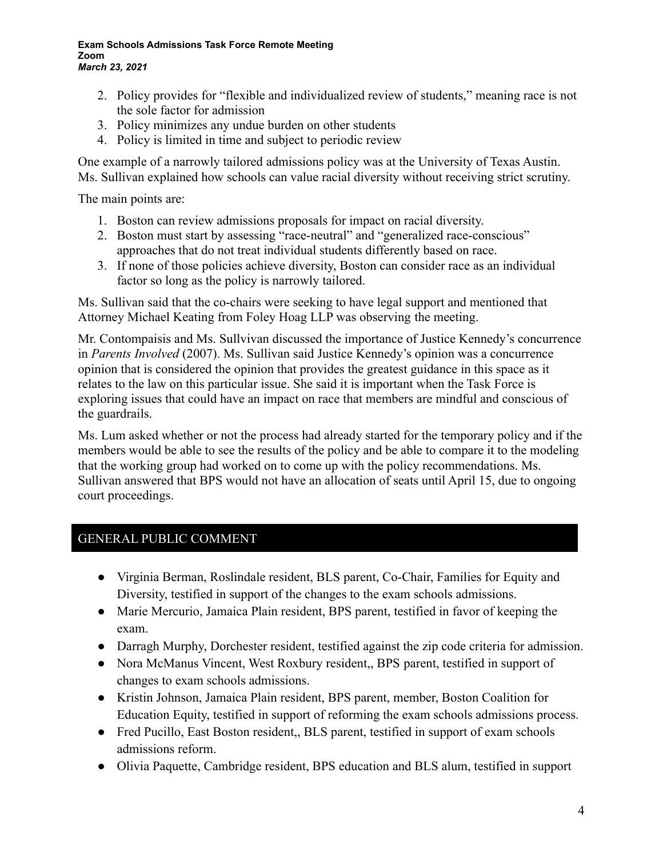#### **Exam Schools Admissions Task Force Remote Meeting Zoom** *March 23, 2021*

- 2. Policy provides for "flexible and individualized review of students," meaning race is not the sole factor for admission
- 3. Policy minimizes any undue burden on other students
- 4. Policy is limited in time and subject to periodic review

One example of a narrowly tailored admissions policy was at the University of Texas Austin. Ms. Sullivan explained how schools can value racial diversity without receiving strict scrutiny.

The main points are:

- 1. Boston can review admissions proposals for impact on racial diversity.
- 2. Boston must start by assessing "race-neutral" and "generalized race-conscious" approaches that do not treat individual students differently based on race.
- 3. If none of those policies achieve diversity, Boston can consider race as an individual factor so long as the policy is narrowly tailored.

Ms. Sullivan said that the co-chairs were seeking to have legal support and mentioned that Attorney Michael Keating from Foley Hoag LLP was observing the meeting.

Mr. Contompaisis and Ms. Sullvivan discussed the importance of Justice Kennedy's concurrence in *Parents Involved* (2007). Ms. Sullivan said Justice Kennedy's opinion was a concurrence opinion that is considered the opinion that provides the greatest guidance in this space as it relates to the law on this particular issue. She said it is important when the Task Force is exploring issues that could have an impact on race that members are mindful and conscious of the guardrails.

Ms. Lum asked whether or not the process had already started for the temporary policy and if the members would be able to see the results of the policy and be able to compare it to the modeling that the working group had worked on to come up with the policy recommendations. Ms. Sullivan answered that BPS would not have an allocation of seats until April 15, due to ongoing court proceedings.

## GENERAL PUBLIC COMMENT

- Virginia Berman, Roslindale resident, BLS parent, Co-Chair, Families for Equity and Diversity, testified in support of the changes to the exam schools admissions.
- Marie Mercurio, Jamaica Plain resident, BPS parent, testified in favor of keeping the exam.
- Darragh Murphy, Dorchester resident, testified against the zip code criteria for admission.
- Nora McManus Vincent, West Roxbury resident, BPS parent, testified in support of changes to exam schools admissions.
- Kristin Johnson, Jamaica Plain resident, BPS parent, member, Boston Coalition for Education Equity, testified in support of reforming the exam schools admissions process.
- Fred Pucillo, East Boston resident,, BLS parent, testified in support of exam schools admissions reform.
- Olivia Paquette, Cambridge resident, BPS education and BLS alum, testified in support